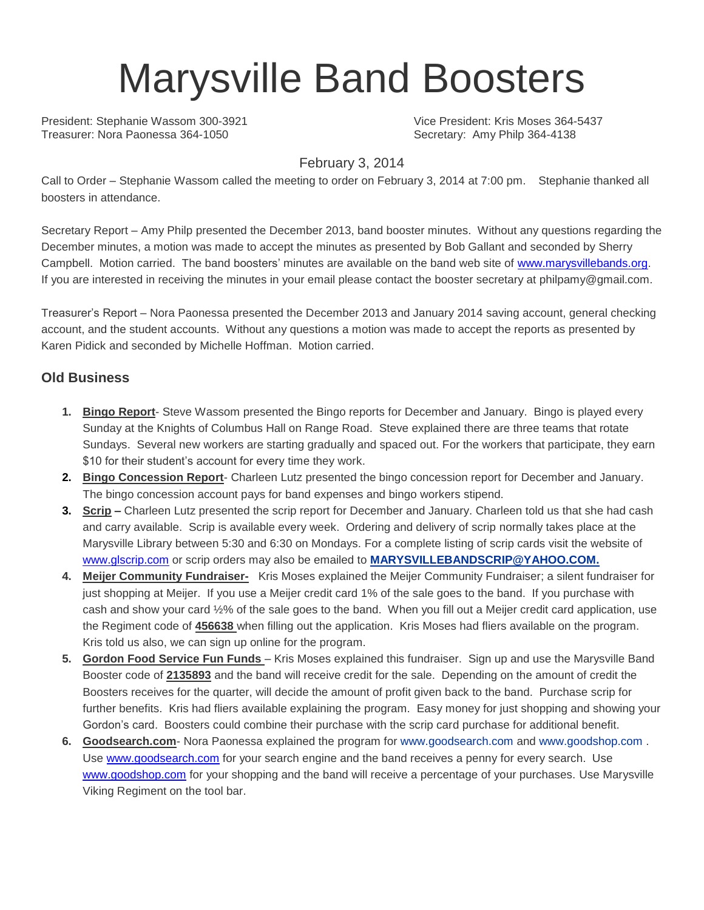# Marysville Band Boosters

President: Stephanie Wassom 300-3921 Vice President: Kris Moses 364-5437 Treasurer: Nora Paonessa 364-1050 Secretary: Amy Philp 364-4138

#### February 3, 2014

Call to Order – Stephanie Wassom called the meeting to order on February 3, 2014 at 7:00 pm. Stephanie thanked all boosters in attendance.

Secretary Report – Amy Philp presented the December 2013, band booster minutes. Without any questions regarding the December minutes, a motion was made to accept the minutes as presented by Bob Gallant and seconded by Sherry Campbell. Motion carried. The band boosters' minutes are available on the band web site of [www.marysvillebands.org.](http://www.marysvillebands.org/) If you are interested in receiving the minutes in your email please contact the booster secretary at philpamy@gmail.com.

Treasurer's Report – Nora Paonessa presented the December 2013 and January 2014 saving account, general checking account, and the student accounts. Without any questions a motion was made to accept the reports as presented by Karen Pidick and seconded by Michelle Hoffman. Motion carried.

### **Old Business**

- **1. Bingo Report** Steve Wassom presented the Bingo reports for December and January. Bingo is played every Sunday at the Knights of Columbus Hall on Range Road. Steve explained there are three teams that rotate Sundays. Several new workers are starting gradually and spaced out. For the workers that participate, they earn \$10 for their student's account for every time they work.
- **2. Bingo Concession Report** Charleen Lutz presented the bingo concession report for December and January. The bingo concession account pays for band expenses and bingo workers stipend.
- **3. Scrip –** Charleen Lutz presented the scrip report for December and January. Charleen told us that she had cash and carry available. Scrip is available every week. Ordering and delivery of scrip normally takes place at the Marysville Library between 5:30 and 6:30 on Mondays. For a complete listing of scrip cards visit the website of [www.glscrip.com](http://www.glscrip.com/) or scrip orders may also be emailed to **[MARYSVILLEBANDSCRIP@YAHOO.COM.](http://us.f838.mail.yahoo.com/ym/Compose?To=MARYSVILLEBANDSCRIP@YAHOO.COM%20/%20_blank)**
- **4. Meijer Community Fundraiser-** Kris Moses explained the Meijer Community Fundraiser; a silent fundraiser for just shopping at Meijer. If you use a Meijer credit card 1% of the sale goes to the band. If you purchase with cash and show your card ½% of the sale goes to the band. When you fill out a Meijer credit card application, use the Regiment code of **456638** when filling out the application. Kris Moses had fliers available on the program. Kris told us also, we can sign up online for the program.
- **5. Gordon Food Service Fun Funds**  Kris Moses explained this fundraiser. Sign up and use the Marysville Band Booster code of **2135893** and the band will receive credit for the sale. Depending on the amount of credit the Boosters receives for the quarter, will decide the amount of profit given back to the band. Purchase scrip for further benefits. Kris had fliers available explaining the program. Easy money for just shopping and showing your Gordon's card. Boosters could combine their purchase with the scrip card purchase for additional benefit.
- **6. Goodsearch.com** Nora Paonessa explained the program for [www.goodsearch.com](http://www.goodsearch.com/) and [www.goodshop.com](http://www.goodshop.com/) . Use [www.goodsearch.com](http://www.goodsearch.com/) for your search engine and the band receives a penny for every search. Use [www.goodshop.com](http://www.goodshop.com/) for your shopping and the band will receive a percentage of your purchases. Use Marysville Viking Regiment on the tool bar.